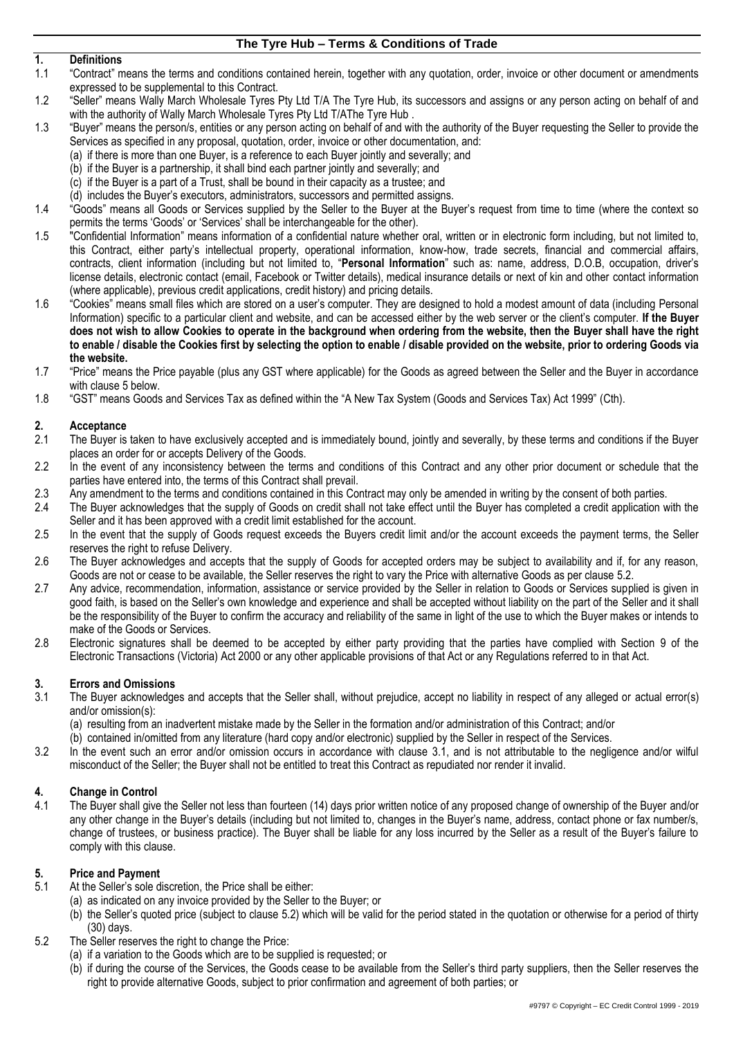## **1. Definitions**

- 1.1 "Contract" means the terms and conditions contained herein, together with any quotation, order, invoice or other document or amendments expressed to be supplemental to this Contract.
- 1.2 "Seller" means Wally March Wholesale Tyres Pty Ltd T/A The Tyre Hub, its successors and assigns or any person acting on behalf of and with the authority of Wally March Wholesale Tyres Pty Ltd T/AThe Tyre Hub .
- 1.3 "Buyer" means the person/s, entities or any person acting on behalf of and with the authority of the Buyer requesting the Seller to provide the Services as specified in any proposal, quotation, order, invoice or other documentation, and:
	- (a) if there is more than one Buyer, is a reference to each Buyer jointly and severally; and
		- (b) if the Buyer is a partnership, it shall bind each partner jointly and severally; and
	- (c) if the Buyer is a part of a Trust, shall be bound in their capacity as a trustee; and
	- (d) includes the Buyer's executors, administrators, successors and permitted assigns.
- 1.4 "Goods" means all Goods or Services supplied by the Seller to the Buyer at the Buyer's request from time to time (where the context so permits the terms 'Goods' or 'Services' shall be interchangeable for the other).
- 1.5 "Confidential Information" means information of a confidential nature whether oral, written or in electronic form including, but not limited to, this Contract, either party's intellectual property, operational information, know-how, trade secrets, financial and commercial affairs, contracts, client information (including but not limited to, "**Personal Information**" such as: name, address, D.O.B, occupation, driver's license details, electronic contact (email, Facebook or Twitter details), medical insurance details or next of kin and other contact information (where applicable), previous credit applications, credit history) and pricing details.
- 1.6 "Cookies" means small files which are stored on a user's computer. They are designed to hold a modest amount of data (including Personal Information) specific to a particular client and website, and can be accessed either by the web server or the client's computer. **If the Buyer does not wish to allow Cookies to operate in the background when ordering from the website, then the Buyer shall have the right to enable / disable the Cookies first by selecting the option to enable / disable provided on the website, prior to ordering Goods via the website.**
- 1.7 "Price" means the Price payable (plus any GST where applicable) for the Goods as agreed between the Seller and the Buyer in accordance with claus[e 5](#page-0-0) below.
- 1.8 "GST" means Goods and Services Tax as defined within the "A New Tax System (Goods and Services Tax) Act 1999" (Cth).

# **2. Acceptance**

- 2.1 The Buyer is taken to have exclusively accepted and is immediately bound, jointly and severally, by these terms and conditions if the Buyer places an order for or accepts Delivery of the Goods.
- 2.2 In the event of any inconsistency between the terms and conditions of this Contract and any other prior document or schedule that the parties have entered into, the terms of this Contract shall prevail.
- 2.3 Any amendment to the terms and conditions contained in this Contract may only be amended in writing by the consent of both parties.
- 2.4 The Buyer acknowledges that the supply of Goods on credit shall not take effect until the Buyer has completed a credit application with the Seller and it has been approved with a credit limit established for the account.
- 2.5 In the event that the supply of Goods request exceeds the Buyers credit limit and/or the account exceeds the payment terms, the Seller reserves the right to refuse Delivery.
- 2.6 The Buyer acknowledges and accepts that the supply of Goods for accepted orders may be subject to availability and if, for any reason, Goods are not or cease to be available, the Seller reserves the right to vary the Price with alternative Goods as per claus[e 5.2.](#page-0-1)
- 2.7 Any advice, recommendation, information, assistance or service provided by the Seller in relation to Goods or Services supplied is given in good faith, is based on the Seller's own knowledge and experience and shall be accepted without liability on the part of the Seller and it shall be the responsibility of the Buyer to confirm the accuracy and reliability of the same in light of the use to which the Buyer makes or intends to make of the Goods or Services.
- 2.8 Electronic signatures shall be deemed to be accepted by either party providing that the parties have complied with Section 9 of the Electronic Transactions (Victoria) Act 2000 or any other applicable provisions of that Act or any Regulations referred to in that Act.

## **3. Errors and Omissions**

<span id="page-0-2"></span>The Buyer acknowledges and accepts that the Seller shall, without prejudice, accept no liability in respect of any alleged or actual error(s) and/or omission(s):

(a) resulting from an inadvertent mistake made by the Seller in the formation and/or administration of this Contract; and/or

(b) contained in/omitted from any literature (hard copy and/or electronic) supplied by the Seller in respect of the Services.

3.2 In the event such an error and/or omission occurs in accordance with clause [3.1,](#page-0-2) and is not attributable to the negligence and/or wilful misconduct of the Seller; the Buyer shall not be entitled to treat this Contract as repudiated nor render it invalid.

### **4. Change in Control**

4.1 The Buyer shall give the Seller not less than fourteen (14) days prior written notice of any proposed change of ownership of the Buyer and/or any other change in the Buyer's details (including but not limited to, changes in the Buyer's name, address, contact phone or fax number/s, change of trustees, or business practice). The Buyer shall be liable for any loss incurred by the Seller as a result of the Buyer's failure to comply with this clause.

### <span id="page-0-0"></span>**5. Price and Payment**

- At the Seller's sole discretion, the Price shall be either:
	- (a) as indicated on any invoice provided by the Seller to the Buyer; or
	- (b) the Seller's quoted price (subject to clause [5.2\)](#page-0-1) which will be valid for the period stated in the quotation or otherwise for a period of thirty (30) days.
- <span id="page-0-1"></span>5.2 The Seller reserves the right to change the Price:
	- (a) if a variation to the Goods which are to be supplied is requested; or
	- (b) if during the course of the Services, the Goods cease to be available from the Seller's third party suppliers, then the Seller reserves the right to provide alternative Goods, subject to prior confirmation and agreement of both parties; or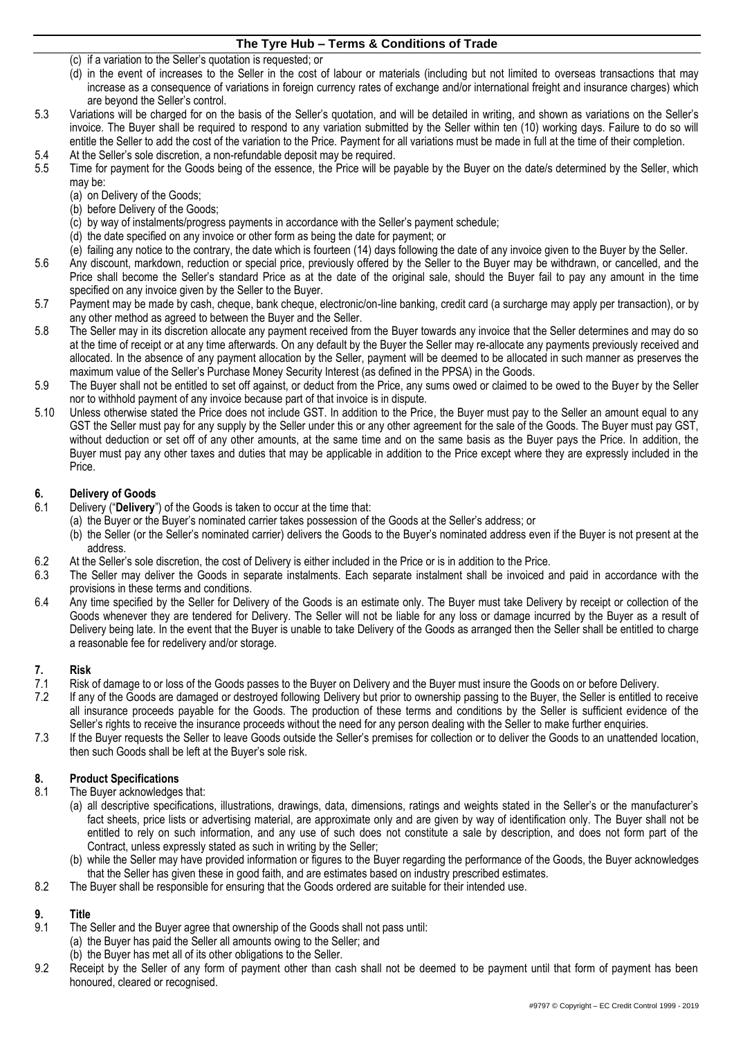- (c) if a variation to the Seller's quotation is requested; or
- (d) in the event of increases to the Seller in the cost of labour or materials (including but not limited to overseas transactions that may increase as a consequence of variations in foreign currency rates of exchange and/or international freight and insurance charges) which are beyond the Seller's control.
- 5.3 Variations will be charged for on the basis of the Seller's quotation, and will be detailed in writing, and shown as variations on the Seller's invoice. The Buyer shall be required to respond to any variation submitted by the Seller within ten (10) working days. Failure to do so will entitle the Seller to add the cost of the variation to the Price. Payment for all variations must be made in full at the time of their completion.
- 5.4 At the Seller's sole discretion, a non-refundable deposit may be required.
- 5.5 Time for payment for the Goods being of the essence, the Price will be payable by the Buyer on the date/s determined by the Seller, which may be:
	- (a) on Delivery of the Goods;
	- (b) before Delivery of the Goods;
	- (c) by way of instalments/progress payments in accordance with the Seller's payment schedule;
	- (d) the date specified on any invoice or other form as being the date for payment; or
	- (e) failing any notice to the contrary, the date which is fourteen (14) days following the date of any invoice given to the Buyer by the Seller.
- 5.6 Any discount, markdown, reduction or special price, previously offered by the Seller to the Buyer may be withdrawn, or cancelled, and the Price shall become the Seller's standard Price as at the date of the original sale, should the Buyer fail to pay any amount in the time specified on any invoice given by the Seller to the Buyer.
- 5.7 Payment may be made by cash, cheque, bank cheque, electronic/on-line banking, credit card (a surcharge may apply per transaction), or by any other method as agreed to between the Buyer and the Seller.
- 5.8 The Seller may in its discretion allocate any payment received from the Buyer towards any invoice that the Seller determines and may do so at the time of receipt or at any time afterwards. On any default by the Buyer the Seller may re-allocate any payments previously received and allocated. In the absence of any payment allocation by the Seller, payment will be deemed to be allocated in such manner as preserves the maximum value of the Seller's Purchase Money Security Interest (as defined in the PPSA) in the Goods.
- 5.9 The Buyer shall not be entitled to set off against, or deduct from the Price, any sums owed or claimed to be owed to the Buyer by the Seller nor to withhold payment of any invoice because part of that invoice is in dispute.
- 5.10 Unless otherwise stated the Price does not include GST. In addition to the Price, the Buyer must pay to the Seller an amount equal to any GST the Seller must pay for any supply by the Seller under this or any other agreement for the sale of the Goods. The Buyer must pay GST, without deduction or set off of any other amounts, at the same time and on the same basis as the Buyer pays the Price. In addition, the Buyer must pay any other taxes and duties that may be applicable in addition to the Price except where they are expressly included in the Price.

### **6. Delivery of Goods**

- 6.1 Delivery ("**Delivery**") of the Goods is taken to occur at the time that:
	- (a) the Buyer or the Buyer's nominated carrier takes possession of the Goods at the Seller's address; or
	- (b) the Seller (or the Seller's nominated carrier) delivers the Goods to the Buyer's nominated address even if the Buyer is not present at the address.
- 6.2 At the Seller's sole discretion, the cost of Delivery is either included in the Price or is in addition to the Price.<br>6.3 The Seller may deliver the Goods in separate instalments. Each separate instalment shall be invo
- The Seller may deliver the Goods in separate instalments. Each separate instalment shall be invoiced and paid in accordance with the provisions in these terms and conditions.
- 6.4 Any time specified by the Seller for Delivery of the Goods is an estimate only. The Buyer must take Delivery by receipt or collection of the Goods whenever they are tendered for Delivery. The Seller will not be liable for any loss or damage incurred by the Buyer as a result of Delivery being late. In the event that the Buyer is unable to take Delivery of the Goods as arranged then the Seller shall be entitled to charge a reasonable fee for redelivery and/or storage.

## **7. Risk**

- 7.1 Risk of damage to or loss of the Goods passes to the Buyer on Delivery and the Buyer must insure the Goods on or before Delivery.
- 7.2 If any of the Goods are damaged or destroyed following Delivery but prior to ownership passing to the Buyer, the Seller is entitled to receive all insurance proceeds payable for the Goods. The production of these terms and conditions by the Seller is sufficient evidence of the Seller's rights to receive the insurance proceeds without the need for any person dealing with the Seller to make further enquiries.
- 7.3 If the Buyer requests the Seller to leave Goods outside the Seller's premises for collection or to deliver the Goods to an unattended location, then such Goods shall be left at the Buyer's sole risk.

### **8. Product Specifications**

- 8.1 The Buyer acknowledges that:
	- (a) all descriptive specifications, illustrations, drawings, data, dimensions, ratings and weights stated in the Seller's or the manufacturer's fact sheets, price lists or advertising material, are approximate only and are given by way of identification only. The Buyer shall not be entitled to rely on such information, and any use of such does not constitute a sale by description, and does not form part of the Contract, unless expressly stated as such in writing by the Seller;
	- (b) while the Seller may have provided information or figures to the Buyer regarding the performance of the Goods, the Buyer acknowledges that the Seller has given these in good faith, and are estimates based on industry prescribed estimates.
- 8.2 The Buyer shall be responsible for ensuring that the Goods ordered are suitable for their intended use.

### **9. Title**

- <span id="page-1-0"></span>The Seller and the Buyer agree that ownership of the Goods shall not pass until: (a) the Buyer has paid the Seller all amounts owing to the Seller; and
	- (b) the Buyer has met all of its other obligations to the Seller.
- 9.2 Receipt by the Seller of any form of payment other than cash shall not be deemed to be payment until that form of payment has been honoured, cleared or recognised.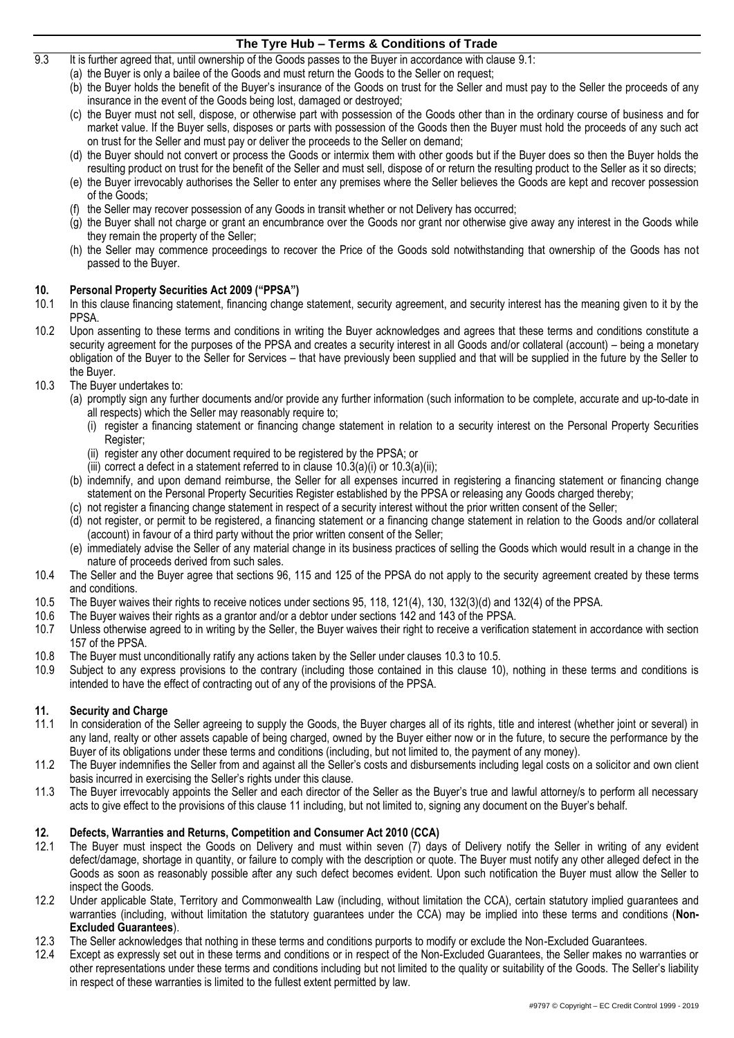- 9.3 It is further agreed that, until ownership of the Goods passes to the Buyer in accordance with clause [9.1:](#page-1-0)
	- (a) the Buyer is only a bailee of the Goods and must return the Goods to the Seller on request;
	- (b) the Buyer holds the benefit of the Buyer's insurance of the Goods on trust for the Seller and must pay to the Seller the proceeds of any insurance in the event of the Goods being lost, damaged or destroyed;
	- (c) the Buyer must not sell, dispose, or otherwise part with possession of the Goods other than in the ordinary course of business and for market value. If the Buyer sells, disposes or parts with possession of the Goods then the Buyer must hold the proceeds of any such act on trust for the Seller and must pay or deliver the proceeds to the Seller on demand;
	- (d) the Buyer should not convert or process the Goods or intermix them with other goods but if the Buyer does so then the Buyer holds the resulting product on trust for the benefit of the Seller and must sell, dispose of or return the resulting product to the Seller as it so directs;
	- (e) the Buyer irrevocably authorises the Seller to enter any premises where the Seller believes the Goods are kept and recover possession of the Goods;
	- (f) the Seller may recover possession of any Goods in transit whether or not Delivery has occurred;
	- (g) the Buyer shall not charge or grant an encumbrance over the Goods nor grant nor otherwise give away any interest in the Goods while they remain the property of the Seller;
	- (h) the Seller may commence proceedings to recover the Price of the Goods sold notwithstanding that ownership of the Goods has not passed to the Buyer.

## <span id="page-2-5"></span>**10. Personal Property Securities Act 2009 ("PPSA")**

- In this clause financing statement, financing change statement, security agreement, and security interest has the meaning given to it by the PPSA.
- 10.2 Upon assenting to these terms and conditions in writing the Buyer acknowledges and agrees that these terms and conditions constitute a security agreement for the purposes of the PPSA and creates a security interest in all Goods and/or collateral (account) – being a monetary obligation of the Buyer to the Seller for Services – that have previously been supplied and that will be supplied in the future by the Seller to the Buyer.
- <span id="page-2-3"></span><span id="page-2-2"></span><span id="page-2-1"></span><span id="page-2-0"></span>10.3 The Buyer undertakes to:
	- (a) promptly sign any further documents and/or provide any further information (such information to be complete, accurate and up-to-date in all respects) which the Seller may reasonably require to;
		- (i) register a financing statement or financing change statement in relation to a security interest on the Personal Property Securities Register;
		- (ii) register any other document required to be registered by the PPSA; or
		- (iii) correct a defect in a statement referred to in clause  $10.3(a)(i)$  $10.3(a)(i)$  $10.3(a)(i)$  or  $10.3(a)(ii)$ ;
		- (b) indemnify, and upon demand reimburse, the Seller for all expenses incurred in registering a financing statement or financing change statement on the Personal Property Securities Register established by the PPSA or releasing any Goods charged thereby;
		- (c) not register a financing change statement in respect of a security interest without the prior written consent of the Seller;
		- (d) not register, or permit to be registered, a financing statement or a financing change statement in relation to the Goods and/or collateral (account) in favour of a third party without the prior written consent of the Seller;
		- (e) immediately advise the Seller of any material change in its business practices of selling the Goods which would result in a change in the nature of proceeds derived from such sales.
- 10.4 The Seller and the Buyer agree that sections 96, 115 and 125 of the PPSA do not apply to the security agreement created by these terms and conditions.
- <span id="page-2-4"></span>10.5 The Buyer waives their rights to receive notices under sections 95, 118, 121(4), 130, 132(3)(d) and 132(4) of the PPSA.<br>10.6 The Buver waives their rights as a grantor and/or a debtor under sections 142 and 143 of the
- The Buyer waives their rights as a grantor and/or a debtor under sections 142 and 143 of the PPSA.
- 10.7 Unless otherwise agreed to in writing by the Seller, the Buyer waives their right to receive a verification statement in accordance with section 157 of the PPSA.
- 10.8 The Buyer must unconditionally ratify any actions taken by the Seller under clauses [10.3](#page-2-0) to [10.5.](#page-2-4)
- 10.9 Subject to any express provisions to the contrary (including those contained in this clause [10\)](#page-2-5), nothing in these terms and conditions is intended to have the effect of contracting out of any of the provisions of the PPSA.

### <span id="page-2-6"></span>**11. Security and Charge**

- In consideration of the Seller agreeing to supply the Goods, the Buyer charges all of its rights, title and interest (whether joint or several) in any land, realty or other assets capable of being charged, owned by the Buyer either now or in the future, to secure the performance by the Buyer of its obligations under these terms and conditions (including, but not limited to, the payment of any money).
- 11.2 The Buyer indemnifies the Seller from and against all the Seller's costs and disbursements including legal costs on a solicitor and own client basis incurred in exercising the Seller's rights under this clause.
- 11.3 The Buyer irrevocably appoints the Seller and each director of the Seller as the Buyer's true and lawful attorney/s to perform all necessary acts to give effect to the provisions of this clause [11](#page-2-6) including, but not limited to, signing any document on the Buyer's behalf.

## <span id="page-2-7"></span>**12. Defects, Warranties and Returns, Competition and Consumer Act 2010 (CCA)**

- <span id="page-2-8"></span>12.1 The Buyer must inspect the Goods on Delivery and must within seven (7) days of Delivery notify the Seller in writing of any evident defect/damage, shortage in quantity, or failure to comply with the description or quote. The Buyer must notify any other alleged defect in the Goods as soon as reasonably possible after any such defect becomes evident. Upon such notification the Buyer must allow the Seller to inspect the Goods.
- 12.2 Under applicable State, Territory and Commonwealth Law (including, without limitation the CCA), certain statutory implied guarantees and warranties (including, without limitation the statutory guarantees under the CCA) may be implied into these terms and conditions (**Non-Excluded Guarantees**).
- 12.3 The Seller acknowledges that nothing in these terms and conditions purports to modify or exclude the Non-Excluded Guarantees.
- 12.4 Except as expressly set out in these terms and conditions or in respect of the Non-Excluded Guarantees, the Seller makes no warranties or other representations under these terms and conditions including but not limited to the quality or suitability of the Goods. The Seller's liability in respect of these warranties is limited to the fullest extent permitted by law.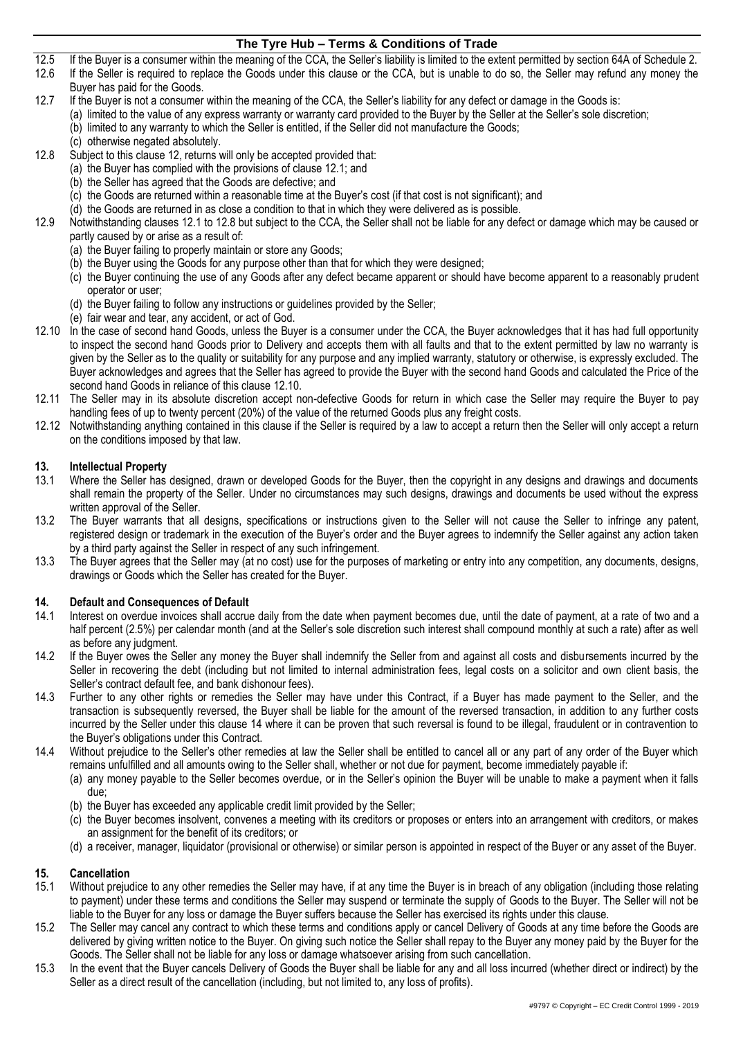12.5 If the Buyer is a consumer within the meaning of the CCA, the Seller's liability is limited to the extent permitted by section 64A of Schedule 2.<br>12.6 If the Seller is required to replace the Goods under this clause o

If the Seller is required to replace the Goods under this clause or the CCA, but is unable to do so, the Seller may refund any money the Buyer has paid for the Goods.

- 12.7 If the Buyer is not a consumer within the meaning of the CCA, the Seller's liability for any defect or damage in the Goods is: (a) limited to the value of any express warranty or warranty card provided to the Buyer by the Seller at the Seller's sole discretion;
	- (b) limited to any warranty to which the Seller is entitled, if the Seller did not manufacture the Goods;
		- (c) otherwise negated absolutely.
- <span id="page-3-0"></span>12.8 Subject to this claus[e 12,](#page-2-7) returns will only be accepted provided that:
	- (a) the Buyer has complied with the provisions of clause [12.1;](#page-2-8) and
	- (b) the Seller has agreed that the Goods are defective; and
	- (c) the Goods are returned within a reasonable time at the Buyer's cost (if that cost is not significant); and
	- (d) the Goods are returned in as close a condition to that in which they were delivered as is possible.
- 12.9 Notwithstanding clause[s 12.1](#page-2-8) to [12.8](#page-3-0) but subject to the CCA, the Seller shall not be liable for any defect or damage which may be caused or partly caused by or arise as a result of:
	- (a) the Buyer failing to properly maintain or store any Goods;
	- (b) the Buyer using the Goods for any purpose other than that for which they were designed;
	- (c) the Buyer continuing the use of any Goods after any defect became apparent or should have become apparent to a reasonably prudent operator or user;
	- (d) the Buyer failing to follow any instructions or guidelines provided by the Seller;
	- (e) fair wear and tear, any accident, or act of God.
- <span id="page-3-1"></span>12.10 In the case of second hand Goods, unless the Buyer is a consumer under the CCA, the Buyer acknowledges that it has had full opportunity to inspect the second hand Goods prior to Delivery and accepts them with all faults and that to the extent permitted by law no warranty is given by the Seller as to the quality or suitability for any purpose and any implied warranty, statutory or otherwise, is expressly excluded. The Buyer acknowledges and agrees that the Seller has agreed to provide the Buyer with the second hand Goods and calculated the Price of the second hand Goods in reliance of this clause [12.10.](#page-3-1)
- 12.11 The Seller may in its absolute discretion accept non-defective Goods for return in which case the Seller may require the Buyer to pay handling fees of up to twenty percent (20%) of the value of the returned Goods plus any freight costs.
- 12.12 Notwithstanding anything contained in this clause if the Seller is required by a law to accept a return then the Seller will only accept a return on the conditions imposed by that law.

### **13. Intellectual Property**

- 13.1 Where the Seller has designed, drawn or developed Goods for the Buyer, then the copyright in any designs and drawings and documents shall remain the property of the Seller. Under no circumstances may such designs, drawings and documents be used without the express written approval of the Seller.
- 13.2 The Buyer warrants that all designs, specifications or instructions given to the Seller will not cause the Seller to infringe any patent, registered design or trademark in the execution of the Buyer's order and the Buyer agrees to indemnify the Seller against any action taken by a third party against the Seller in respect of any such infringement.
- 13.3 The Buyer agrees that the Seller may (at no cost) use for the purposes of marketing or entry into any competition, any documents, designs, drawings or Goods which the Seller has created for the Buyer.

## <span id="page-3-2"></span>**14. Default and Consequences of Default**

- Interest on overdue invoices shall accrue daily from the date when payment becomes due, until the date of payment, at a rate of two and a half percent (2.5%) per calendar month (and at the Seller's sole discretion such interest shall compound monthly at such a rate) after as well as before any judgment.
- 14.2 If the Buyer owes the Seller any money the Buyer shall indemnify the Seller from and against all costs and disbursements incurred by the Seller in recovering the debt (including but not limited to internal administration fees, legal costs on a solicitor and own client basis, the Seller's contract default fee, and bank dishonour fees).
- 14.3 Further to any other rights or remedies the Seller may have under this Contract, if a Buyer has made payment to the Seller, and the transaction is subsequently reversed, the Buyer shall be liable for the amount of the reversed transaction, in addition to any further costs incurred by the Seller under this clause [14](#page-3-2) where it can be proven that such reversal is found to be illegal, fraudulent or in contravention to the Buyer's obligations under this Contract.
- 14.4 Without prejudice to the Seller's other remedies at law the Seller shall be entitled to cancel all or any part of any order of the Buyer which remains unfulfilled and all amounts owing to the Seller shall, whether or not due for payment, become immediately payable if:
	- (a) any money payable to the Seller becomes overdue, or in the Seller's opinion the Buyer will be unable to make a payment when it falls due;
	- (b) the Buyer has exceeded any applicable credit limit provided by the Seller;
	- (c) the Buyer becomes insolvent, convenes a meeting with its creditors or proposes or enters into an arrangement with creditors, or makes an assignment for the benefit of its creditors; or
	- (d) a receiver, manager, liquidator (provisional or otherwise) or similar person is appointed in respect of the Buyer or any asset of the Buyer.

### **15. Cancellation**

- 15.1 Without prejudice to any other remedies the Seller may have, if at any time the Buyer is in breach of any obligation (including those relating to payment) under these terms and conditions the Seller may suspend or terminate the supply of Goods to the Buyer. The Seller will not be liable to the Buyer for any loss or damage the Buyer suffers because the Seller has exercised its rights under this clause.
- 15.2 The Seller may cancel any contract to which these terms and conditions apply or cancel Delivery of Goods at any time before the Goods are delivered by giving written notice to the Buyer. On giving such notice the Seller shall repay to the Buyer any money paid by the Buyer for the Goods. The Seller shall not be liable for any loss or damage whatsoever arising from such cancellation.
- 15.3 In the event that the Buyer cancels Delivery of Goods the Buyer shall be liable for any and all loss incurred (whether direct or indirect) by the Seller as a direct result of the cancellation (including, but not limited to, any loss of profits).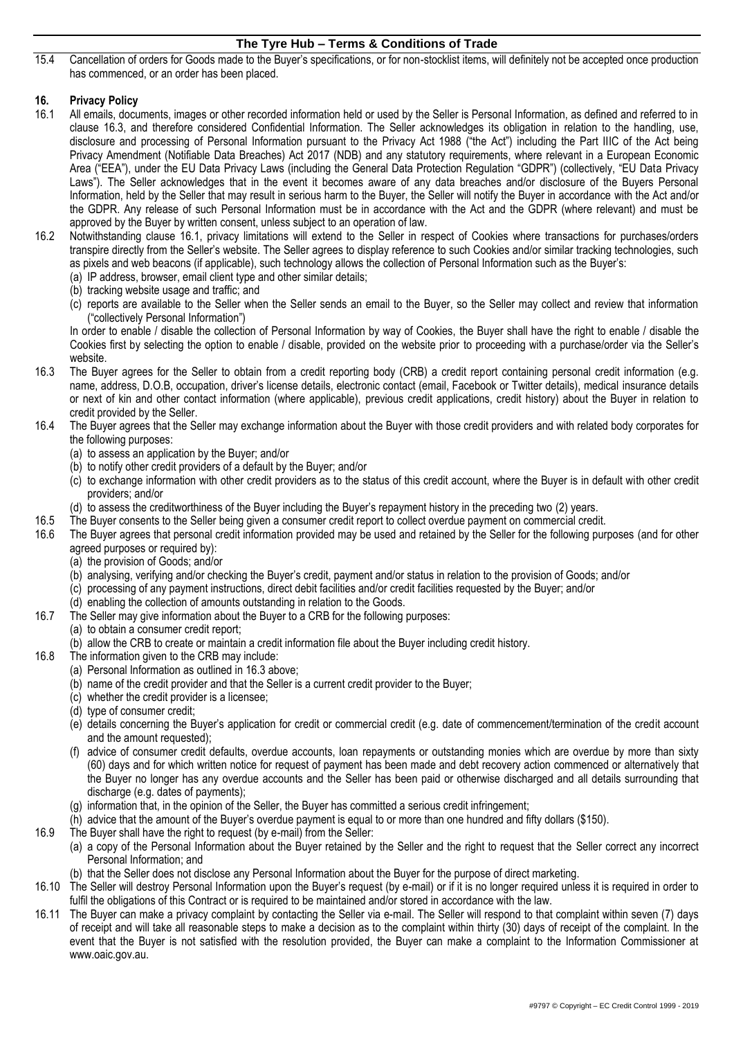15.4 Cancellation of orders for Goods made to the Buyer's specifications, or for non-stocklist items, will definitely not be accepted once production has commenced, or an order has been placed.

# **16. Privacy Policy**

- <span id="page-4-1"></span>16.1 All emails, documents, images or other recorded information held or used by the Seller is Personal Information, as defined and referred to in clause [16.3,](#page-4-0) and therefore considered Confidential Information. The Seller acknowledges its obligation in relation to the handling, use, disclosure and processing of Personal Information pursuant to the Privacy Act 1988 ("the Act") including the Part IIIC of the Act being Privacy Amendment (Notifiable Data Breaches) Act 2017 (NDB) and any statutory requirements, where relevant in a European Economic Area ("EEA"), under the EU Data Privacy Laws (including the General Data Protection Regulation "GDPR") (collectively, "EU Data Privacy Laws"). The Seller acknowledges that in the event it becomes aware of any data breaches and/or disclosure of the Buyers Personal Information, held by the Seller that may result in serious harm to the Buyer, the Seller will notify the Buyer in accordance with the Act and/or the GDPR. Any release of such Personal Information must be in accordance with the Act and the GDPR (where relevant) and must be approved by the Buyer by written consent, unless subject to an operation of law.
- 16.2 Notwithstanding clause [16.1,](#page-4-1) privacy limitations will extend to the Seller in respect of Cookies where transactions for purchases/orders transpire directly from the Seller's website. The Seller agrees to display reference to such Cookies and/or similar tracking technologies, such as pixels and web beacons (if applicable), such technology allows the collection of Personal Information such as the Buyer's:
	- (a) IP address, browser, email client type and other similar details;
	- (b) tracking website usage and traffic; and
		- (c) reports are available to the Seller when the Seller sends an email to the Buyer, so the Seller may collect and review that information ("collectively Personal Information")

In order to enable / disable the collection of Personal Information by way of Cookies, the Buyer shall have the right to enable / disable the Cookies first by selecting the option to enable / disable, provided on the website prior to proceeding with a purchase/order via the Seller's website.

- <span id="page-4-0"></span>16.3 The Buyer agrees for the Seller to obtain from a credit reporting body (CRB) a credit report containing personal credit information (e.g. name, address, D.O.B, occupation, driver's license details, electronic contact (email, Facebook or Twitter details), medical insurance details or next of kin and other contact information (where applicable), previous credit applications, credit history) about the Buyer in relation to credit provided by the Seller.
- 16.4 The Buyer agrees that the Seller may exchange information about the Buyer with those credit providers and with related body corporates for the following purposes:
	- (a) to assess an application by the Buyer; and/or
	- (b) to notify other credit providers of a default by the Buyer; and/or
	- (c) to exchange information with other credit providers as to the status of this credit account, where the Buyer is in default with other credit providers; and/or
	- (d) to assess the creditworthiness of the Buyer including the Buyer's repayment history in the preceding two (2) years.
- 16.5 The Buyer consents to the Seller being given a consumer credit report to collect overdue payment on commercial credit.
- 16.6 The Buyer agrees that personal credit information provided may be used and retained by the Seller for the following purposes (and for other agreed purposes or required by):
	- (a) the provision of Goods; and/or
	- (b) analysing, verifying and/or checking the Buyer's credit, payment and/or status in relation to the provision of Goods; and/or
	- (c) processing of any payment instructions, direct debit facilities and/or credit facilities requested by the Buyer; and/or
	- (d) enabling the collection of amounts outstanding in relation to the Goods.
- 16.7 The Seller may give information about the Buyer to a CRB for the following purposes:
	- (a) to obtain a consumer credit report;
	- (b) allow the CRB to create or maintain a credit information file about the Buyer including credit history.
- 16.8 The information given to the CRB may include:
	- (a) Personal Information as outlined i[n 16.3](#page-4-0) above;
	- (b) name of the credit provider and that the Seller is a current credit provider to the Buyer;
	- (c) whether the credit provider is a licensee;
	- (d) type of consumer credit;
	- (e) details concerning the Buyer's application for credit or commercial credit (e.g. date of commencement/termination of the credit account and the amount requested);
	- (f) advice of consumer credit defaults, overdue accounts, loan repayments or outstanding monies which are overdue by more than sixty (60) days and for which written notice for request of payment has been made and debt recovery action commenced or alternatively that the Buyer no longer has any overdue accounts and the Seller has been paid or otherwise discharged and all details surrounding that discharge (e.g. dates of payments);
	- (g) information that, in the opinion of the Seller, the Buyer has committed a serious credit infringement;
	- (h) advice that the amount of the Buyer's overdue payment is equal to or more than one hundred and fifty dollars (\$150).
- 16.9 The Buyer shall have the right to request (by e-mail) from the Seller:
	- (a) a copy of the Personal Information about the Buyer retained by the Seller and the right to request that the Seller correct any incorrect Personal Information; and
	- (b) that the Seller does not disclose any Personal Information about the Buyer for the purpose of direct marketing.
- 16.10 The Seller will destroy Personal Information upon the Buyer's request (by e-mail) or if it is no longer required unless it is required in order to fulfil the obligations of this Contract or is required to be maintained and/or stored in accordance with the law.
- 16.11 The Buyer can make a privacy complaint by contacting the Seller via e-mail. The Seller will respond to that complaint within seven (7) days of receipt and will take all reasonable steps to make a decision as to the complaint within thirty (30) days of receipt of the complaint. In the event that the Buyer is not satisfied with the resolution provided, the Buyer can make a complaint to the Information Commissioner at www.oaic.gov.au.